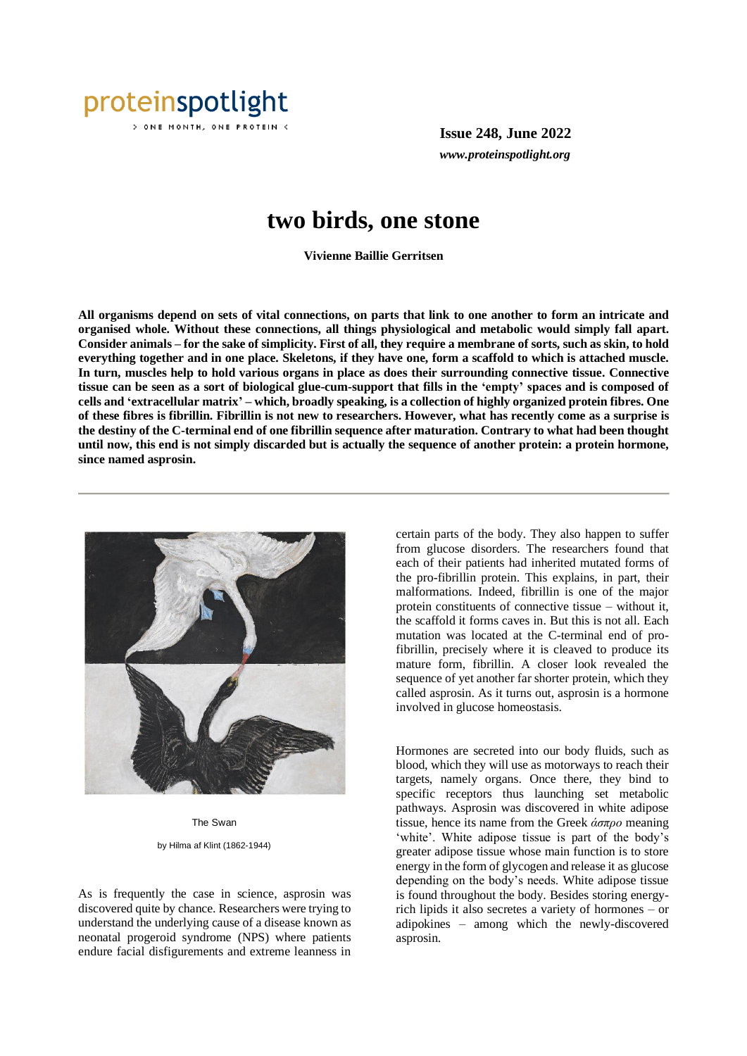

) ONE MONTH, ONE PROTEIN <

**Issue 248, June 2022** *www.proteinspotlight.org*

## **two birds, one stone**

**Vivienne Baillie Gerritsen**

**All organisms depend on sets of vital connections, on parts that link to one another to form an intricate and organised whole. Without these connections, all things physiological and metabolic would simply fall apart. Consider animals – for the sake of simplicity. First of all, they require a membrane of sorts, such as skin, to hold everything together and in one place. Skeletons, if they have one, form a scaffold to which is attached muscle. In turn, muscles help to hold various organs in place as does their surrounding connective tissue. Connective tissue can be seen as a sort of biological glue-cum-support that fills in the 'empty' spaces and is composed of cells and 'extracellular matrix' – which, broadly speaking, is a collection of highly organized protein fibres. One of these fibres is fibrillin. Fibrillin is not new to researchers. However, what has recently come as a surprise is the destiny of the C-terminal end of one fibrillin sequence after maturation. Contrary to what had been thought until now, this end is not simply discarded but is actually the sequence of another protein: a protein hormone, since named asprosin.** 



The Swan by Hilma af Klint (1862-1944)

As is frequently the case in science, asprosin was discovered quite by chance. Researchers were trying to understand the underlying cause of a disease known as neonatal progeroid syndrome (NPS) where patients endure facial disfigurements and extreme leanness in

certain parts of the body. They also happen to suffer from glucose disorders. The researchers found that each of their patients had inherited mutated forms of the pro-fibrillin protein. This explains, in part, their malformations. Indeed, fibrillin is one of the major protein constituents of connective tissue – without it, the scaffold it forms caves in. But this is not all. Each mutation was located at the C-terminal end of profibrillin, precisely where it is cleaved to produce its mature form, fibrillin. A closer look revealed the sequence of yet another far shorter protein, which they called asprosin. As it turns out, asprosin is a hormone involved in glucose homeostasis.

Hormones are secreted into our body fluids, such as blood, which they will use as motorways to reach their targets, namely organs. Once there, they bind to specific receptors thus launching set metabolic pathways. Asprosin was discovered in white adipose tissue, hence its name from the Greek *άσπρο* meaning 'white'. White adipose tissue is part of the body's greater adipose tissue whose main function is to store energy in the form of glycogen and release it as glucose depending on the body's needs. White adipose tissue is found throughout the body. Besides storing energyrich lipids it also secretes a variety of hormones – or adipokines – among which the newly-discovered asprosin.